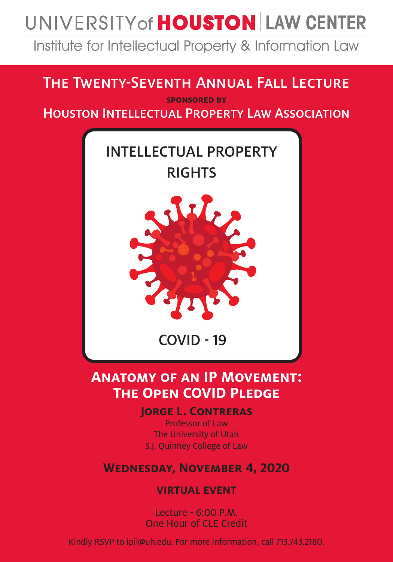# UNIVERSITY of **HOUSTON** LAW CENTER

Institute for Intellectual Property & Information Law

## The Twenty-Seventh Annual Fall Lecture

**sponsored by** Houston Intellectual Property Law Association



### **Anatomy of an IP Movement: THE OPEN COVID PLEDGE**

**Jorge L. Contreras** 

Professor of Law The University of Utah S.J. Quinney College of Law

#### **Wednesday, November 4, 2020**

**VIRTUAL EVENT**

Lecture - 6:00 P.M. One Hour of CLE Credit

Kindly RSVP to ipil@uh.edu. For more information, call 713.743.2180.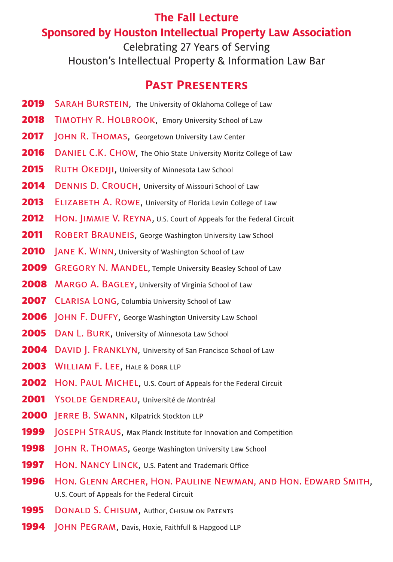#### **The Fall Lecture Sponsored by Houston Intellectual Property Law Association**

Celebrating 27 Years of Serving Houston's Intellectual Property & Information Law Bar

#### **Past Presenters**

- 2019 SARAH BURSTEIN, The University of Oklahoma College of Law
- 2018 TIMOTHY R. HOLBROOK, Emory University School of Law
- **2017** JOHN R. THOMAS, Georgetown University Law Center
- **2016** DANIEL C.K. CHOW, The Ohio State University Moritz College of Law
- **2015** RUTH OKEDIJI, University of Minnesota Law School
- 2014 DENNIS D. CROUCH, University of Missouri School of Law
- 2013 ELIZABETH A. ROWE, University of Florida Levin College of Law
- **2012** HON. JIMMIE V. REYNA, U.S. Court of Appeals for the Federal Circuit
- **2011** ROBERT BRAUNEIS, George Washington University Law School
- **2010** JANE K. WINN, University of Washington School of Law
- **2009** GREGORY N. MANDEL, Temple University Beasley School of Law
- 2008 MARGO A. BAGLEY, University of Virginia School of Law
- 2007 CLARISA LONG, Columbia University School of Law
- **2006** JOHN F. DUFFY, George Washington University Law School
- **2005** DAN L. BURK, University of Minnesota Law School
- 2004 DAVID |. FRANKLYN, University of San Francisco School of Law
- 2003 WILLIAM F. LEE, HALE & DORR LLP
- **2002** HON. PAUL MICHEL, U.S. Court of Appeals for the Federal Circuit
- 2001 YSOLDE GENDREAU, Université de Montréal
- 2000 **JERRE B. SWANN, Kilpatrick Stockton LLP**
- **1999** JOSEPH STRAUS, Max Planck Institute for Innovation and Competition
- **1998** JOHN R. THOMAS, George Washington University Law School
- 1997 HON. NANCY LINCK, U.S. Patent and Trademark Office
- 1996 Hon. GLENN ARCHER, HON. PAULINE NEWMAN, AND HON. EDWARD SMITH, U.S. Court of Appeals for the Federal Circuit
- **1995** DONALD S. CHISUM, Author, CHISUM ON PATENTS
- **1994 JOHN PEGRAM, Davis, Hoxie, Faithfull & Hapgood LLP**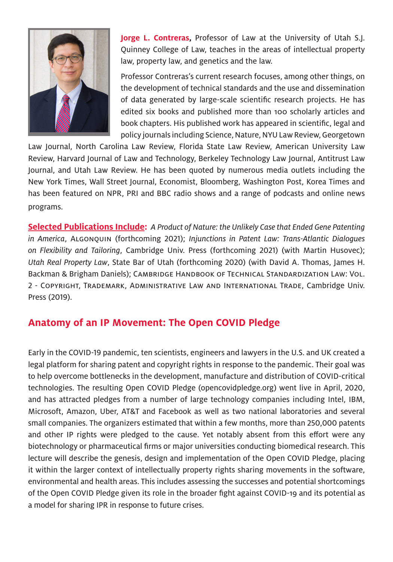

**Jorge L. Contreras,** Professor of Law at the University of Utah S.J. Quinney College of Law, teaches in the areas of intellectual property law, property law, and genetics and the law.

Professor Contreras's current research focuses, among other things, on the development of technical standards and the use and dissemination of data generated by large-scale scientific research projects. He has edited six books and published more than 100 scholarly articles and book chapters. His published work has appeared in scientific, legal and policy journals including Science, Nature, NYU Law Review, Georgetown

Law Journal, North Carolina Law Review, Florida State Law Review, American University Law Review, Harvard Journal of Law and Technology, Berkeley Technology Law Journal, Antitrust Law Journal, and Utah Law Review. He has been quoted by numerous media outlets including the New York Times, Wall Street Journal, Economist, Bloomberg, Washington Post, Korea Times and has been featured on NPR, PRI and BBC radio shows and a range of podcasts and online news programs.

**Selected Publications Include:** *A Product of Nature: the Unlikely Case that Ended Gene Patenting in America*, Algonquin (forthcoming 2021); *Injunctions in Patent Law: Trans-Atlantic Dialogues on Flexibility and Tailoring*, Cambridge Univ. Press (forthcoming 2021) (with Martin Husovec); *Utah Real Property Law*, State Bar of Utah (forthcoming 2020) (with David A. Thomas, James H. Backman & Brigham Daniels); Cambridge Handbook of Technical Standardization Law: Vol. 2 - Copyright, Trademark, Administrative Law and International Trade, Cambridge Univ. Press (2019).

#### **Anatomy of an IP Movement: The Open COVID Pledge**

Early in the COVID-19 pandemic, ten scientists, engineers and lawyers in the U.S. and UK created a legal platform for sharing patent and copyright rights in response to the pandemic. Their goal was to help overcome bottlenecks in the development, manufacture and distribution of COVID-critical technologies. The resulting Open COVID Pledge (opencovidpledge.org) went live in April, 2020, and has attracted pledges from a number of large technology companies including Intel, IBM, Microsoft, Amazon, Uber, AT&T and Facebook as well as two national laboratories and several small companies. The organizers estimated that within a few months, more than 250,000 patents and other IP rights were pledged to the cause. Yet notably absent from this effort were any biotechnology or pharmaceutical firms or major universities conducting biomedical research. This lecture will describe the genesis, design and implementation of the Open COVID Pledge, placing it within the larger context of intellectually property rights sharing movements in the software, environmental and health areas. This includes assessing the successes and potential shortcomings of the Open COVID Pledge given its role in the broader fight against COVID-19 and its potential as a model for sharing IPR in response to future crises.